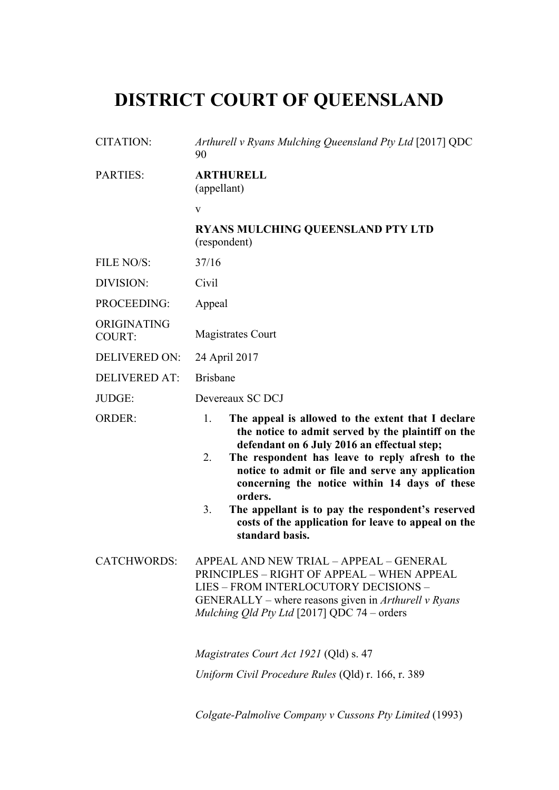## **DISTRICT COURT OF QUEENSLAND**

| <b>CITATION:</b>             | Arthurell v Ryans Mulching Queensland Pty Ltd [2017] QDC<br>90                                                                                                                                                                                                                                                                                                                                                                                                               |
|------------------------------|------------------------------------------------------------------------------------------------------------------------------------------------------------------------------------------------------------------------------------------------------------------------------------------------------------------------------------------------------------------------------------------------------------------------------------------------------------------------------|
| <b>PARTIES:</b>              | <b>ARTHURELL</b><br>(appellant)                                                                                                                                                                                                                                                                                                                                                                                                                                              |
|                              | $\mathbf{V}$                                                                                                                                                                                                                                                                                                                                                                                                                                                                 |
|                              | <b>RYANS MULCHING QUEENSLAND PTY LTD</b><br>(respondent)                                                                                                                                                                                                                                                                                                                                                                                                                     |
| FILE NO/S:                   | 37/16                                                                                                                                                                                                                                                                                                                                                                                                                                                                        |
| DIVISION:                    | Civil                                                                                                                                                                                                                                                                                                                                                                                                                                                                        |
| PROCEEDING:                  | Appeal                                                                                                                                                                                                                                                                                                                                                                                                                                                                       |
| ORIGINATING<br><b>COURT:</b> | <b>Magistrates Court</b>                                                                                                                                                                                                                                                                                                                                                                                                                                                     |
| <b>DELIVERED ON:</b>         | 24 April 2017                                                                                                                                                                                                                                                                                                                                                                                                                                                                |
| <b>DELIVERED AT:</b>         | <b>Brisbane</b>                                                                                                                                                                                                                                                                                                                                                                                                                                                              |
| JUDGE:                       | Devereaux SC DCJ                                                                                                                                                                                                                                                                                                                                                                                                                                                             |
| <b>ORDER:</b>                | 1.<br>The appeal is allowed to the extent that I declare<br>the notice to admit served by the plaintiff on the<br>defendant on 6 July 2016 an effectual step;<br>The respondent has leave to reply afresh to the<br>2.<br>notice to admit or file and serve any application<br>concerning the notice within 14 days of these<br>orders.<br>3.<br>The appellant is to pay the respondent's reserved<br>costs of the application for leave to appeal on the<br>standard basis. |
| <b>CATCHWORDS:</b>           | APPEAL AND NEW TRIAL - APPEAL - GENERAL<br>PRINCIPLES - RIGHT OF APPEAL - WHEN APPEAL<br>LIES - FROM INTERLOCUTORY DECISIONS -<br>GENERALLY – where reasons given in Arthurell v Ryans<br>Mulching Qld Pty Ltd [2017] QDC 74 - orders                                                                                                                                                                                                                                        |
|                              |                                                                                                                                                                                                                                                                                                                                                                                                                                                                              |
|                              | Magistrates Court Act 1921 (Qld) s. 47                                                                                                                                                                                                                                                                                                                                                                                                                                       |

*Colgate-Palmolive Company v Cussons Pty Limited* (1993)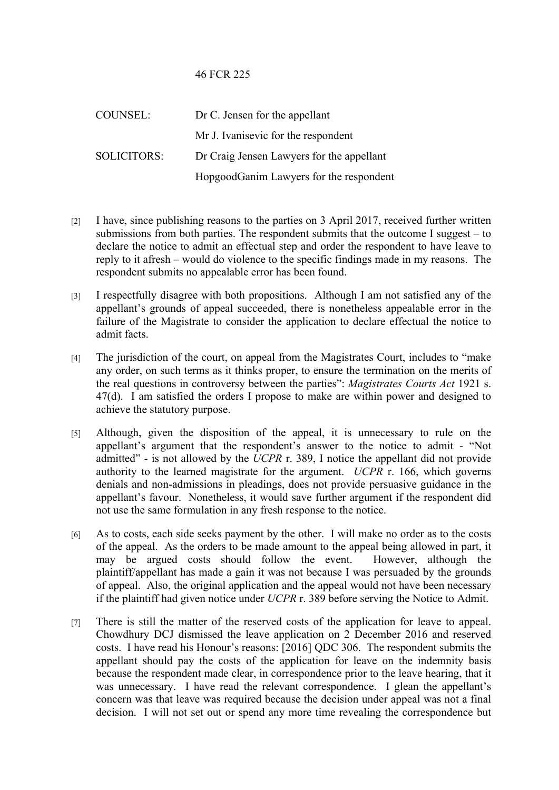## 46 FCR 225

| COUNSEL:           | Dr C. Jensen for the appellant            |
|--------------------|-------------------------------------------|
|                    | Mr J. Ivanisevic for the respondent       |
| <b>SOLICITORS:</b> | Dr Craig Jensen Lawyers for the appellant |
|                    | HopgoodGanim Lawyers for the respondent   |

- [2] I have, since publishing reasons to the parties on 3 April 2017, received further written submissions from both parties. The respondent submits that the outcome I suggest – to declare the notice to admit an effectual step and order the respondent to have leave to reply to it afresh – would do violence to the specific findings made in my reasons. The respondent submits no appealable error has been found.
- [3] I respectfully disagree with both propositions. Although I am not satisfied any of the appellant's grounds of appeal succeeded, there is nonetheless appealable error in the failure of the Magistrate to consider the application to declare effectual the notice to admit facts.
- [4] The jurisdiction of the court, on appeal from the Magistrates Court, includes to "make any order, on such terms as it thinks proper, to ensure the termination on the merits of the real questions in controversy between the parties": *Magistrates Courts Act* 1921 s. 47(d). I am satisfied the orders I propose to make are within power and designed to achieve the statutory purpose.
- [5] Although, given the disposition of the appeal, it is unnecessary to rule on the appellant's argument that the respondent's answer to the notice to admit - "Not admitted" - is not allowed by the *UCPR* r. 389, I notice the appellant did not provide authority to the learned magistrate for the argument. *UCPR* r. 166, which governs denials and non-admissions in pleadings, does not provide persuasive guidance in the appellant's favour. Nonetheless, it would save further argument if the respondent did not use the same formulation in any fresh response to the notice.
- [6] As to costs, each side seeks payment by the other. I will make no order as to the costs of the appeal. As the orders to be made amount to the appeal being allowed in part, it may be argued costs should follow the event. However, although the plaintiff/appellant has made a gain it was not because I was persuaded by the grounds of appeal. Also, the original application and the appeal would not have been necessary if the plaintiff had given notice under *UCPR* r. 389 before serving the Notice to Admit.
- [7] There is still the matter of the reserved costs of the application for leave to appeal. Chowdhury DCJ dismissed the leave application on 2 December 2016 and reserved costs. I have read his Honour's reasons: [2016] QDC 306. The respondent submits the appellant should pay the costs of the application for leave on the indemnity basis because the respondent made clear, in correspondence prior to the leave hearing, that it was unnecessary. I have read the relevant correspondence. I glean the appellant's concern was that leave was required because the decision under appeal was not a final decision. I will not set out or spend any more time revealing the correspondence but